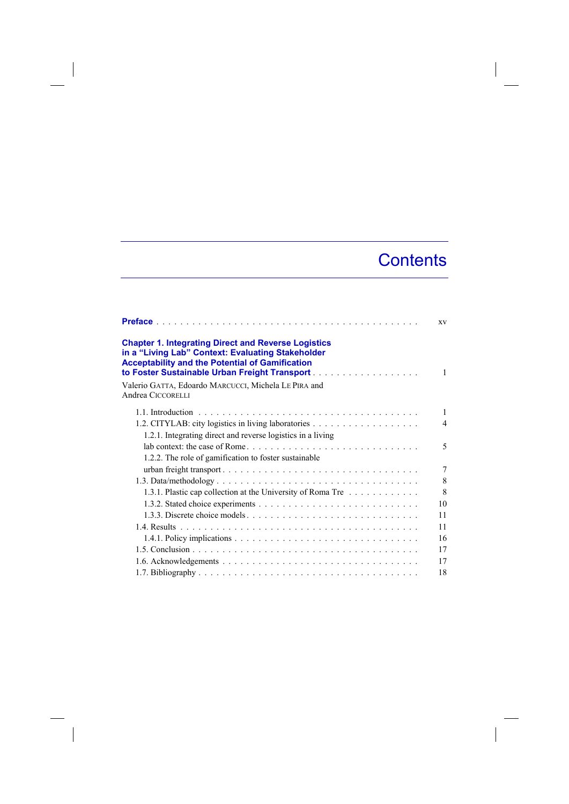## **Contents**

|                                                                                                                                                                                                                            | XV             |
|----------------------------------------------------------------------------------------------------------------------------------------------------------------------------------------------------------------------------|----------------|
| <b>Chapter 1. Integrating Direct and Reverse Logistics</b><br>in a "Living Lab" Context: Evaluating Stakeholder<br><b>Acceptability and the Potential of Gamification</b><br>to Foster Sustainable Urban Freight Transport | 1              |
| Valerio GATTA, Edoardo MARCUCCI, Michela LE PIRA and<br>Andrea CICCORELLI                                                                                                                                                  |                |
|                                                                                                                                                                                                                            | 1              |
|                                                                                                                                                                                                                            | $\overline{4}$ |
| 1.2.1. Integrating direct and reverse logistics in a living<br>1.2.2. The role of gamification to foster sustainable                                                                                                       | 5              |
|                                                                                                                                                                                                                            | $\tau$         |
|                                                                                                                                                                                                                            | 8              |
| 1.3.1. Plastic cap collection at the University of Roma Tre                                                                                                                                                                | 8              |
|                                                                                                                                                                                                                            | 10             |
| 1.3.3. Discrete choice models                                                                                                                                                                                              | 11             |
|                                                                                                                                                                                                                            | 11             |
|                                                                                                                                                                                                                            | 16             |
|                                                                                                                                                                                                                            | 17             |
|                                                                                                                                                                                                                            | 17             |
|                                                                                                                                                                                                                            | 18             |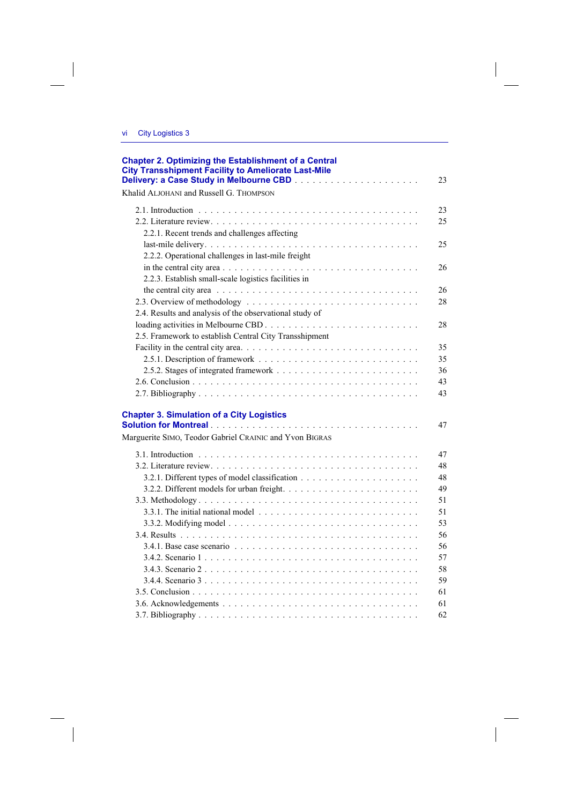$\overline{\phantom{a}}$ 

| <b>Chapter 2. Optimizing the Establishment of a Central</b><br><b>City Transshipment Facility to Ameliorate Last-Mile</b> | 23 |
|---------------------------------------------------------------------------------------------------------------------------|----|
| Khalid ALJOHANI and Russell G. THOMPSON                                                                                   |    |
|                                                                                                                           | 23 |
|                                                                                                                           | 25 |
| 2.2.1. Recent trends and challenges affecting                                                                             |    |
|                                                                                                                           | 25 |
| 2.2.2. Operational challenges in last-mile freight                                                                        |    |
|                                                                                                                           | 26 |
| 2.2.3. Establish small-scale logistics facilities in                                                                      |    |
|                                                                                                                           | 26 |
|                                                                                                                           | 28 |
| 2.4. Results and analysis of the observational study of                                                                   |    |
|                                                                                                                           | 28 |
| 2.5. Framework to establish Central City Transshipment                                                                    |    |
|                                                                                                                           | 35 |
|                                                                                                                           | 35 |
|                                                                                                                           | 36 |
|                                                                                                                           | 43 |
|                                                                                                                           | 43 |
| <b>Chapter 3. Simulation of a City Logistics</b>                                                                          | 47 |
| Marguerite SIMO, Teodor Gabriel CRAINIC and Yvon BIGRAS                                                                   |    |
|                                                                                                                           | 47 |
|                                                                                                                           | 48 |
|                                                                                                                           | 48 |
|                                                                                                                           | 49 |
|                                                                                                                           | 51 |
|                                                                                                                           | 51 |
|                                                                                                                           | 53 |
|                                                                                                                           | 56 |
| 3.4.1. Base case scenario $\ldots \ldots \ldots \ldots \ldots \ldots \ldots \ldots \ldots \ldots \ldots$                  | 56 |
|                                                                                                                           | 57 |
|                                                                                                                           | 58 |
|                                                                                                                           | 59 |
|                                                                                                                           | 61 |
|                                                                                                                           | 61 |
|                                                                                                                           | 62 |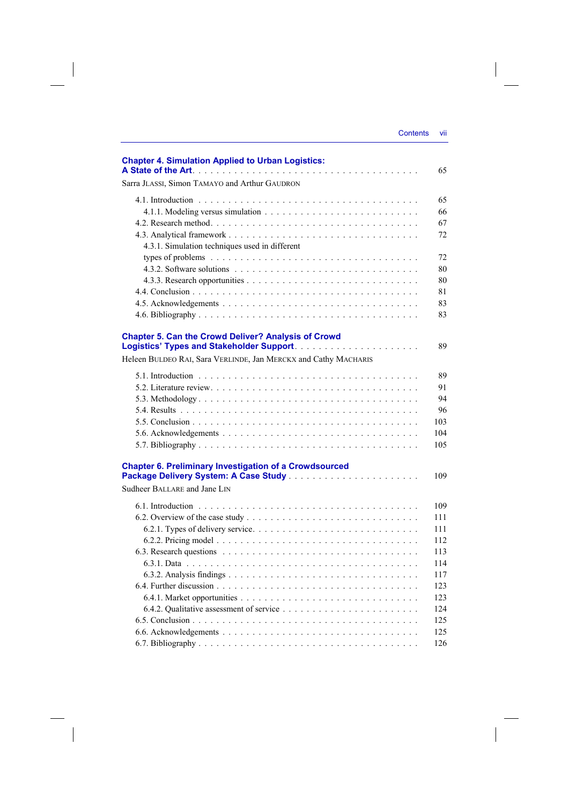| <b>Contents</b> | VII |
|-----------------|-----|

| <b>Chapter 4. Simulation Applied to Urban Logistics:</b>        | 65                                                                               |
|-----------------------------------------------------------------|----------------------------------------------------------------------------------|
| Sarra JLASSI, Simon TAMAYO and Arthur GAUDRON                   |                                                                                  |
|                                                                 | 65<br>66<br>67<br>72                                                             |
| 4.3.1. Simulation techniques used in different                  | 72<br>80<br>80<br>81<br>83<br>83                                                 |
| <b>Chapter 5. Can the Crowd Deliver? Analysis of Crowd</b>      | 89                                                                               |
| Heleen BULDEO RAI, Sara VERLINDE, Jan MERCKX and Cathy MACHARIS |                                                                                  |
|                                                                 | 89<br>91<br>94<br>96<br>103<br>104<br>105                                        |
| <b>Chapter 6. Preliminary Investigation of a Crowdsourced</b>   | 109                                                                              |
| Sudheer BALLARE and Jane LIN                                    |                                                                                  |
|                                                                 | 109<br>111<br>111<br>112<br>113<br>114<br>117<br>123<br>123<br>124<br>125<br>125 |
|                                                                 | 126                                                                              |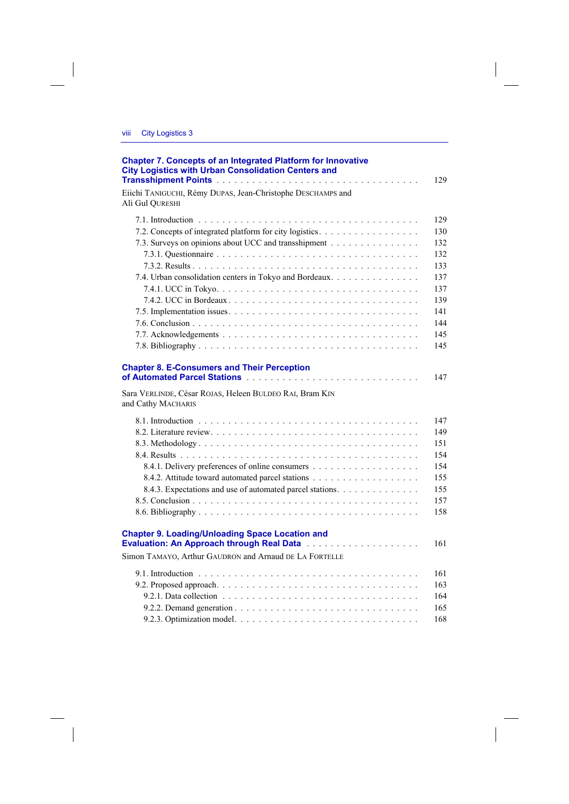$\overline{\phantom{a}}$ 

| <b>Chapter 7. Concepts of an Integrated Platform for Innovative</b><br><b>City Logistics with Urban Consolidation Centers and</b>   | 129        |
|-------------------------------------------------------------------------------------------------------------------------------------|------------|
| Eiichi TANIGUCHI, Rémy DUPAS, Jean-Christophe DESCHAMPS and<br>Ali Gul QURESHI                                                      |            |
|                                                                                                                                     | 129        |
| 7.2. Concepts of integrated platform for city logistics.                                                                            | 130        |
| 7.3. Surveys on opinions about UCC and transshipment                                                                                | 132        |
|                                                                                                                                     | 132        |
|                                                                                                                                     | 133        |
| 7.4. Urban consolidation centers in Tokyo and Bordeaux.                                                                             | 137        |
|                                                                                                                                     | 137        |
|                                                                                                                                     | 139        |
|                                                                                                                                     | 141        |
|                                                                                                                                     | 144        |
|                                                                                                                                     | 145        |
|                                                                                                                                     | 145        |
| <b>Chapter 8. E-Consumers and Their Perception</b><br>Sara VERLINDE, César ROJAS, Heleen BULDEO RAI, Bram KIN<br>and Cathy MACHARIS | 147        |
|                                                                                                                                     | 147        |
|                                                                                                                                     | 149        |
|                                                                                                                                     | 151        |
|                                                                                                                                     | 154        |
|                                                                                                                                     | 154        |
|                                                                                                                                     | 155        |
| 8.4.3. Expectations and use of automated parcel stations.                                                                           | 155        |
|                                                                                                                                     | 157        |
|                                                                                                                                     | 158        |
| <b>Chapter 9. Loading/Unloading Space Location and</b><br>Simon TAMAYO, Arthur GAUDRON and Arnaud DE LA FORTELLE                    | 161        |
|                                                                                                                                     |            |
|                                                                                                                                     | 161        |
|                                                                                                                                     | 163        |
|                                                                                                                                     | 164<br>165 |
|                                                                                                                                     | 168        |
|                                                                                                                                     |            |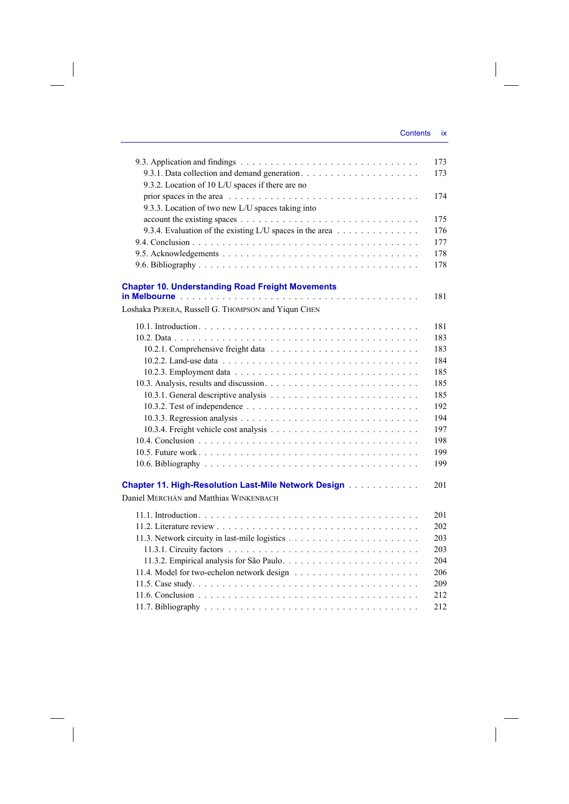$\bigg\}$ 

|                                                                                                              | 173 |
|--------------------------------------------------------------------------------------------------------------|-----|
|                                                                                                              | 173 |
| 9.3.2. Location of 10 L/U spaces if there are no                                                             |     |
|                                                                                                              | 174 |
| 9.3.3. Location of two new L/U spaces taking into                                                            |     |
|                                                                                                              | 175 |
| 9.3.4. Evaluation of the existing L/U spaces in the area                                                     | 176 |
|                                                                                                              | 177 |
|                                                                                                              | 178 |
|                                                                                                              | 178 |
|                                                                                                              |     |
| <b>Chapter 10. Understanding Road Freight Movements</b>                                                      | 181 |
| Loshaka PERERA, Russell G. THOMPSON and Yiqun CHEN                                                           |     |
|                                                                                                              |     |
|                                                                                                              | 181 |
|                                                                                                              | 183 |
|                                                                                                              | 183 |
|                                                                                                              | 184 |
|                                                                                                              | 185 |
|                                                                                                              | 185 |
|                                                                                                              | 185 |
|                                                                                                              | 192 |
|                                                                                                              | 194 |
|                                                                                                              | 197 |
|                                                                                                              | 198 |
|                                                                                                              | 199 |
|                                                                                                              | 199 |
| <b>Chapter 11. High-Resolution Last-Mile Network Design [1] Allen Lines Resolution Last Property Chapter</b> | 201 |
| Daniel MERCHÁN and Matthias WINKENBACH                                                                       |     |
|                                                                                                              |     |
|                                                                                                              | 201 |
|                                                                                                              | 202 |
|                                                                                                              | 203 |
|                                                                                                              | 203 |
|                                                                                                              | 204 |
|                                                                                                              | 206 |
|                                                                                                              | 209 |
|                                                                                                              | 212 |
|                                                                                                              | 212 |

 $\overline{\phantom{a}}$ 

 $\begin{array}{c} \hline \end{array}$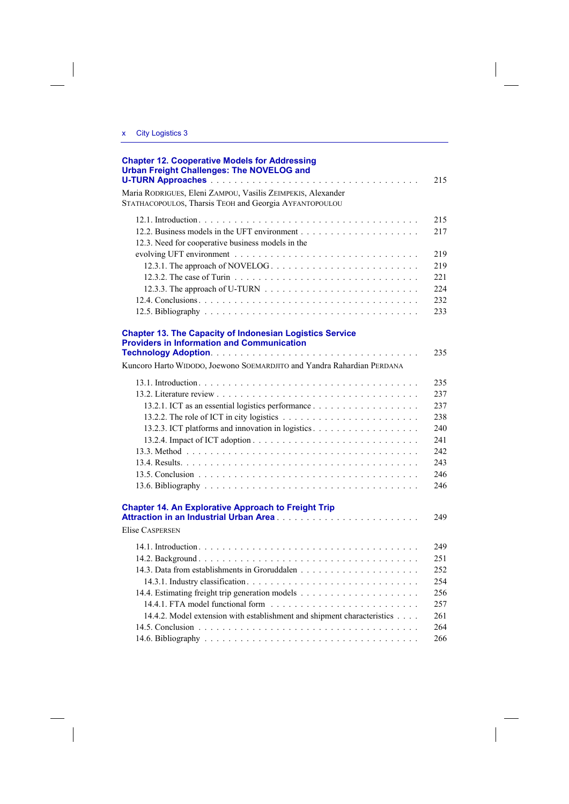| <b>Chapter 12. Cooperative Models for Addressing</b><br><b>Urban Freight Challenges: The NOVELOG and</b>                                                                                       | 215                                                                |
|------------------------------------------------------------------------------------------------------------------------------------------------------------------------------------------------|--------------------------------------------------------------------|
| Maria RODRIGUES, Eleni ZAMPOU, Vasilis ZEIMPEKIS, Alexander<br>STATHACOPOULOS, Tharsis TEOH and Georgia AYFANTOPOULOU                                                                          |                                                                    |
| 12.3. Need for cooperative business models in the                                                                                                                                              | 215<br>217                                                         |
| 12.3.1. The approach of NOVELOG                                                                                                                                                                | 219<br>219<br>221<br>224<br>232<br>233                             |
| <b>Chapter 13. The Capacity of Indonesian Logistics Service</b><br><b>Providers in Information and Communication</b><br>Kuncoro Harto WIDODO, Joewono SOEMARDJITO and Yandra Rahardian PERDANA | 235                                                                |
|                                                                                                                                                                                                | 235<br>237<br>237<br>238<br>240<br>241<br>242<br>243<br>246<br>246 |
| <b>Chapter 14. An Explorative Approach to Freight Trip</b><br><b>Elise CASPERSEN</b>                                                                                                           | 249                                                                |
| 14.4.2. Model extension with establishment and shipment characteristics                                                                                                                        | 249<br>251<br>252<br>254<br>256<br>257<br>261<br>264<br>266        |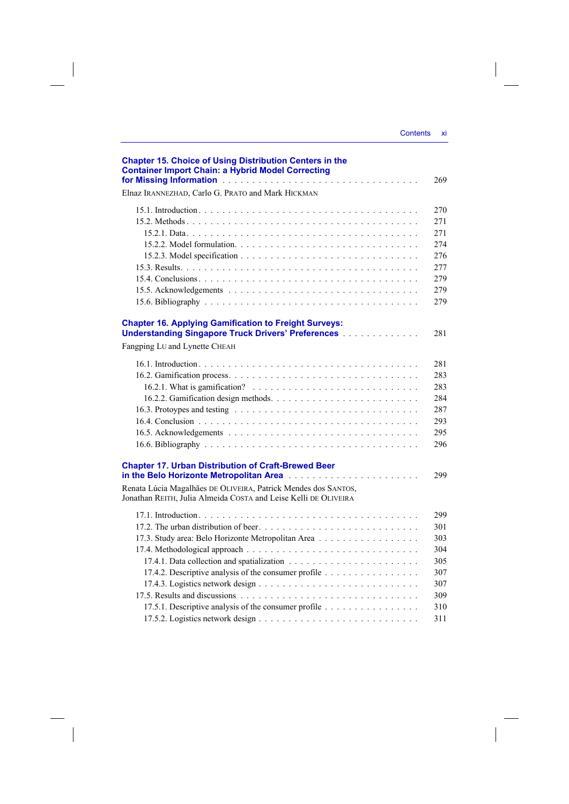| <b>Contents</b> | $\mathbf{x}$ |
|-----------------|--------------|
|                 |              |

 $\mathcal{L}_{\mathcal{L}}$ 

| <b>Chapter 15. Choice of Using Distribution Centers in the</b><br><b>Container Import Chain: a Hybrid Model Correcting</b>        | 269 |
|-----------------------------------------------------------------------------------------------------------------------------------|-----|
| Elnaz IRANNEZHAD, Carlo G. PRATO and Mark HICKMAN                                                                                 |     |
|                                                                                                                                   | 270 |
|                                                                                                                                   | 271 |
|                                                                                                                                   | 271 |
|                                                                                                                                   | 274 |
|                                                                                                                                   | 276 |
|                                                                                                                                   | 277 |
|                                                                                                                                   | 279 |
|                                                                                                                                   | 279 |
|                                                                                                                                   | 279 |
| <b>Chapter 16. Applying Gamification to Freight Surveys:</b>                                                                      |     |
| <b>Understanding Singapore Truck Drivers' Preferences [1] Allegences</b>                                                          | 281 |
| Fangping LU and Lynette CHEAH                                                                                                     |     |
|                                                                                                                                   | 281 |
|                                                                                                                                   | 283 |
|                                                                                                                                   | 283 |
|                                                                                                                                   | 284 |
|                                                                                                                                   | 287 |
|                                                                                                                                   | 293 |
|                                                                                                                                   | 295 |
|                                                                                                                                   | 296 |
| <b>Chapter 17. Urban Distribution of Craft-Brewed Beer</b><br>in the Belo Horizonte Metropolitan Area                             | 299 |
| Renata Lúcia Magalhães DE OLIVEIRA, Patrick Mendes dos SANTOS,<br>Jonathan REITH, Julia Almeida COSTA and Leise Kelli DE OLIVEIRA |     |
|                                                                                                                                   | 299 |
|                                                                                                                                   | 301 |
| 17.3. Study area: Belo Horizonte Metropolitan Area                                                                                | 303 |
|                                                                                                                                   | 304 |
|                                                                                                                                   | 305 |
| 17.4.2. Descriptive analysis of the consumer profile                                                                              | 307 |
|                                                                                                                                   | 307 |
|                                                                                                                                   | 309 |
| 17.5.1. Descriptive analysis of the consumer profile                                                                              | 310 |
|                                                                                                                                   | 311 |

 $\begin{array}{c} \begin{array}{c} \begin{array}{c} \end{array} \\ \begin{array}{c} \end{array} \end{array} \end{array}$ 

 $\frac{1}{\sqrt{2}}$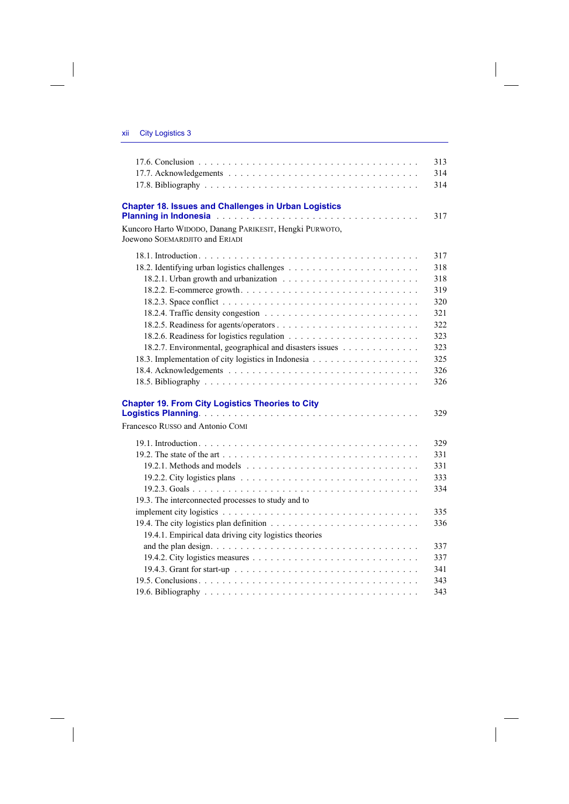$\begin{array}{c} \hline \end{array}$ 

 $\begin{array}{c} \hline \end{array}$ 

|                                                                                           | 313 |
|-------------------------------------------------------------------------------------------|-----|
|                                                                                           | 314 |
|                                                                                           | 314 |
| <b>Chapter 18. Issues and Challenges in Urban Logistics</b>                               | 317 |
|                                                                                           |     |
| Kuncoro Harto WIDODO, Danang PARIKESIT, Hengki PURWOTO,<br>Joewono SOEMARDJITO and ERIADI |     |
|                                                                                           | 317 |
|                                                                                           | 318 |
|                                                                                           | 318 |
|                                                                                           | 319 |
|                                                                                           | 320 |
|                                                                                           | 321 |
|                                                                                           | 322 |
|                                                                                           | 323 |
| 18.2.7. Environmental, geographical and disasters issues                                  | 323 |
|                                                                                           | 325 |
|                                                                                           | 326 |
|                                                                                           | 326 |
| <b>Chapter 19. From City Logistics Theories to City</b>                                   |     |
|                                                                                           | 329 |
| Francesco RUSSO and Antonio COMI                                                          |     |
|                                                                                           | 329 |
|                                                                                           | 331 |
|                                                                                           | 331 |
|                                                                                           | 333 |
|                                                                                           | 334 |
| 19.3. The interconnected processes to study and to                                        |     |
|                                                                                           | 335 |
|                                                                                           | 336 |
| 19.4.1. Empirical data driving city logistics theories                                    |     |
|                                                                                           | 337 |
|                                                                                           | 337 |
|                                                                                           | 341 |
|                                                                                           | 343 |
|                                                                                           | 343 |